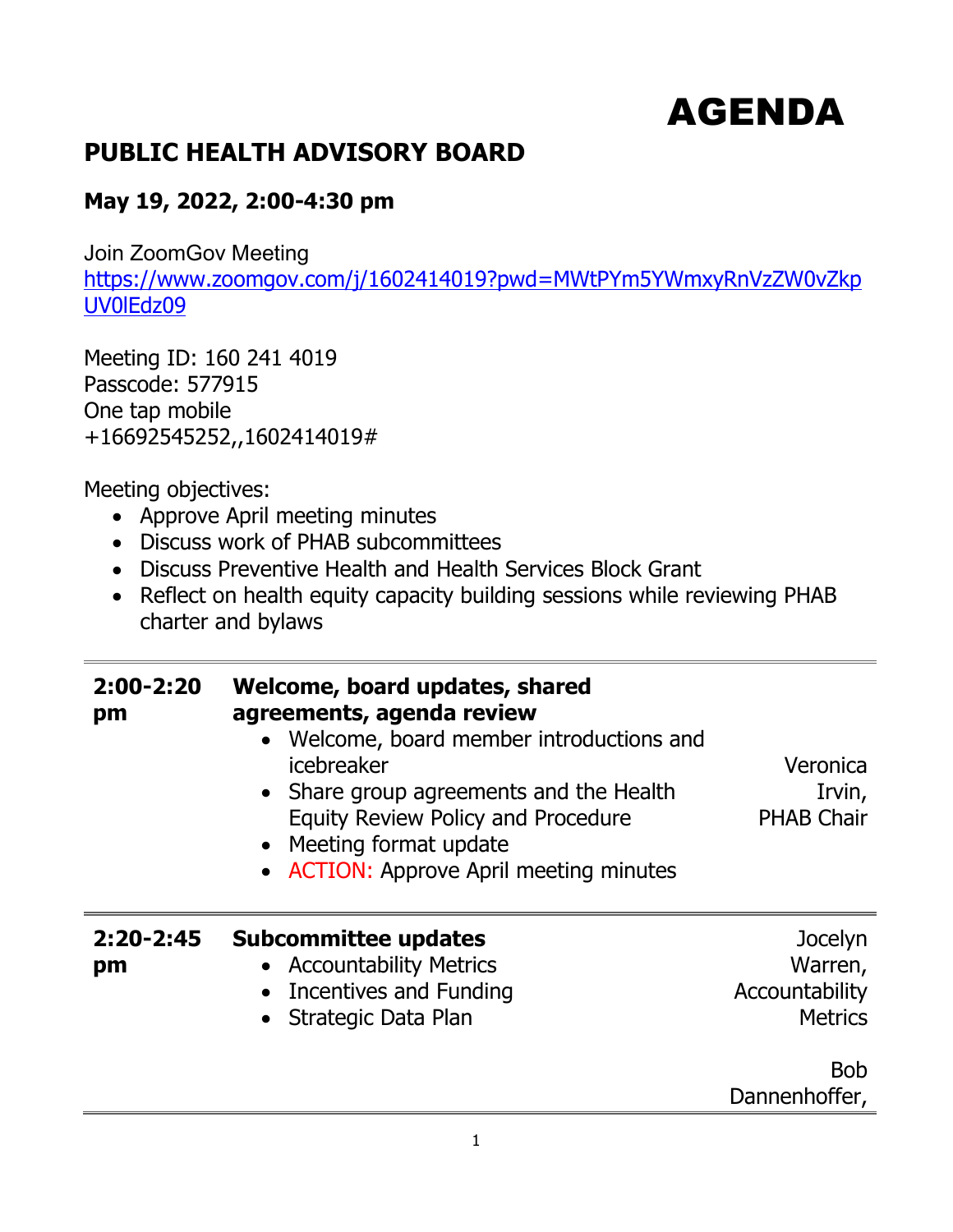## AGENDA

## **PUBLIC HEALTH ADVISORY BOARD**

## **May 19, 2022, 2:00-4:30 pm**

Join ZoomGov Meeting

[https://www.zoomgov.com/j/1602414019?pwd=MWtPYm5YWmxyRnVzZW0vZkp](https://www.zoomgov.com/j/1602414019?pwd=MWtPYm5YWmxyRnVzZW0vZkpUV0lEdz09) [UV0lEdz09](https://www.zoomgov.com/j/1602414019?pwd=MWtPYm5YWmxyRnVzZW0vZkpUV0lEdz09)

Meeting ID: 160 241 4019 Passcode: 577915 One tap mobile +16692545252,,1602414019#

Meeting objectives:

- Approve April meeting minutes
- Discuss work of PHAB subcommittees
- Discuss Preventive Health and Health Services Block Grant
- Reflect on health equity capacity building sessions while reviewing PHAB charter and bylaws

| $2:00-2:20$<br>pm   | Welcome, board updates, shared<br>agreements, agenda review<br>• Welcome, board member introductions and<br>icebreaker<br>• Share group agreements and the Health<br><b>Equity Review Policy and Procedure</b><br>• Meeting format update<br>• ACTION: Approve April meeting minutes | Veronica<br>Irvin,<br><b>PHAB Chair</b>                                               |
|---------------------|--------------------------------------------------------------------------------------------------------------------------------------------------------------------------------------------------------------------------------------------------------------------------------------|---------------------------------------------------------------------------------------|
| $2:20 - 2:45$<br>pm | <b>Subcommittee updates</b><br>• Accountability Metrics<br>• Incentives and Funding<br>Strategic Data Plan                                                                                                                                                                           | Jocelyn<br>Warren,<br>Accountability<br><b>Metrics</b><br><b>Bob</b><br>Dannenhoffer, |